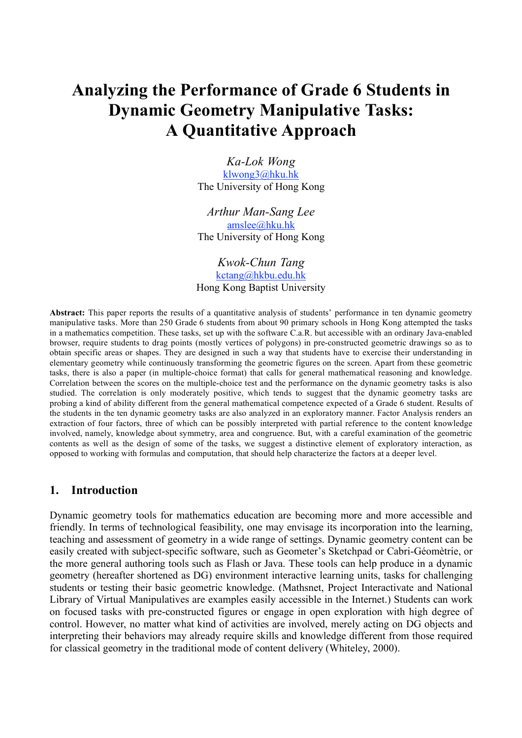# **Analyzing the Performance of Grade 6 Students in Dynamic Geometry Manipulative Tasks: A Quantitative Approach**

*Ka-Lok Wong* klwong3@hku.hk The University of Hong Kong

*Arthur Man-Sang Lee* amslee@hku.hk The University of Hong Kong

*Kwok-Chun Tang* kctang@hkbu.edu.hk Hong Kong Baptist University

**Abstract:** This paper reports the results of a quantitative analysis of students' performance in ten dynamic geometry manipulative tasks. More than 250 Grade 6 students from about 90 primary schools in Hong Kong attempted the tasks in a mathematics competition. These tasks, set up with the software C.a.R. but accessible with an ordinary Java-enabled browser, require students to drag points (mostly vertices of polygons) in pre-constructed geometric drawings so as to obtain specific areas or shapes. They are designed in such a way that students have to exercise their understanding in elementary geometry while continuously transforming the geometric figures on the screen. Apart from these geometric tasks, there is also a paper (in multiple-choice format) that calls for general mathematical reasoning and knowledge. Correlation between the scores on the multiple-choice test and the performance on the dynamic geometry tasks is also studied. The correlation is only moderately positive, which tends to suggest that the dynamic geometry tasks are probing a kind of ability different from the general mathematical competence expected of a Grade 6 student. Results of the students in the ten dynamic geometry tasks are also analyzed in an exploratory manner. Factor Analysis renders an extraction of four factors, three of which can be possibly interpreted with partial reference to the content knowledge involved, namely, knowledge about symmetry, area and congruence. But, with a careful examination of the geometric contents as well as the design of some of the tasks, we suggest a distinctive element of exploratory interaction, as opposed to working with formulas and computation, that should help characterize the factors at a deeper level.

#### **1. Introduction**

Dynamic geometry tools for mathematics education are becoming more and more accessible and friendly. In terms of technological feasibility, one may envisage its incorporation into the learning, teaching and assessment of geometry in a wide range of settings. Dynamic geometry content can be easily created with subject-specific software, such as Geometer's Sketchpad or Cabri-Géomètrie, or the more general authoring tools such as Flash or Java. These tools can help produce in a dynamic geometry (hereafter shortened as DG) environment interactive learning units, tasks for challenging students or testing their basic geometric knowledge. (Mathsnet, Project Interactivate and National Library of Virtual Manipulatives are examples easily accessible in the Internet.) Students can work on focused tasks with pre-constructed figures or engage in open exploration with high degree of control. However, no matter what kind of activities are involved, merely acting on DG objects and interpreting their behaviors may already require skills and knowledge different from those required for classical geometry in the traditional mode of content delivery (Whiteley, 2000).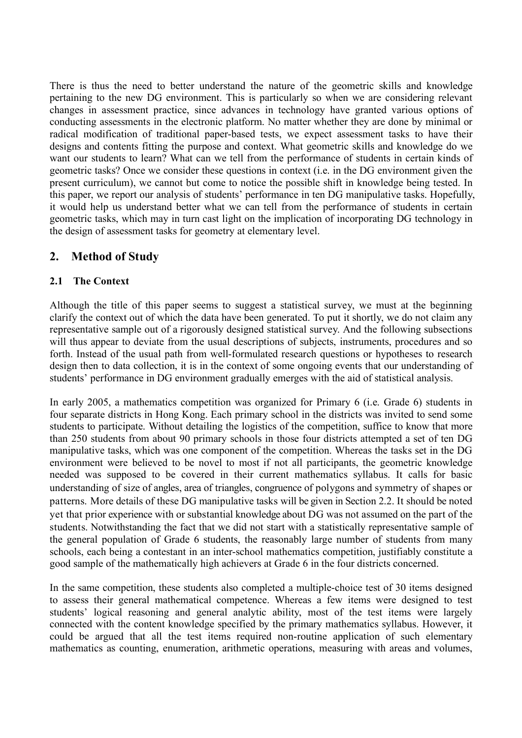There is thus the need to better understand the nature of the geometric skills and knowledge pertaining to the new DG environment. This is particularly so when we are considering relevant changes in assessment practice, since advances in technology have granted various options of conducting assessments in the electronic platform. No matter whether they are done by minimal or radical modification of traditional paper-based tests, we expect assessment tasks to have their designs and contents fitting the purpose and context. What geometric skills and knowledge do we want our students to learn? What can we tell from the performance of students in certain kinds of geometric tasks? Once we consider these questions in context (i.e. in the DG environment given the present curriculum), we cannot but come to notice the possible shift in knowledge being tested. In this paper, we report our analysis of students' performance in ten DG manipulative tasks. Hopefully, it would help us understand better what we can tell from the performance of students in certain geometric tasks, which may in turn cast light on the implication of incorporating DG technology in the design of assessment tasks for geometry at elementary level.

# **2. Method of Study**

#### **2.1 The Context**

Although the title of this paper seems to suggest a statistical survey, we must at the beginning clarify the context out of which the data have been generated. To put it shortly, we do not claim any representative sample out of a rigorously designed statistical survey. And the following subsections will thus appear to deviate from the usual descriptions of subjects, instruments, procedures and so forth. Instead of the usual path from well-formulated research questions or hypotheses to research design then to data collection, it is in the context of some ongoing events that our understanding of students' performance in DG environment gradually emerges with the aid of statistical analysis.

In early 2005, a mathematics competition was organized for Primary 6 (i.e. Grade 6) students in four separate districts in Hong Kong. Each primary school in the districts was invited to send some students to participate. Without detailing the logistics of the competition, suffice to know that more than 250 students from about 90 primary schools in those four districts attempted a set of ten DG manipulative tasks, which was one component of the competition. Whereas the tasks set in the DG environment were believed to be novel to most if not all participants, the geometric knowledge needed was supposed to be covered in their current mathematics syllabus. It calls for basic understanding of size of angles, area of triangles, congruence of polygons and symmetry of shapes or patterns. More details of these DG manipulative tasks will be given in Section 2.2. It should be noted yet that prior experience with or substantial knowledge about DG was not assumed on the part of the students. Notwithstanding the fact that we did not start with a statistically representative sample of the general population of Grade 6 students, the reasonably large number of students from many schools, each being a contestant in an inter-school mathematics competition, justifiably constitute a good sample of the mathematically high achievers at Grade 6 in the four districts concerned.

In the same competition, these students also completed a multiple-choice test of 30 items designed to assess their general mathematical competence. Whereas a few items were designed to test students' logical reasoning and general analytic ability, most of the test items were largely connected with the content knowledge specified by the primary mathematics syllabus. However, it could be argued that all the test items required non-routine application of such elementary mathematics as counting, enumeration, arithmetic operations, measuring with areas and volumes,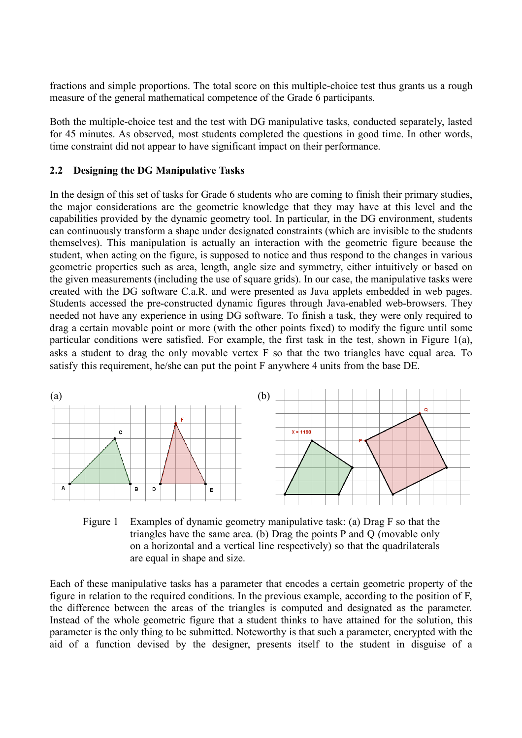fractions and simple proportions. The total score on this multiple-choice test thus grants us a rough measure of the general mathematical competence of the Grade 6 participants.

Both the multiple-choice test and the test with DG manipulative tasks, conducted separately, lasted for 45 minutes. As observed, most students completed the questions in good time. In other words, time constraint did not appear to have significant impact on their performance.

#### **2.2 Designing the DG Manipulative Tasks**

In the design of this set of tasks for Grade 6 students who are coming to finish their primary studies, the major considerations are the geometric knowledge that they may have at this level and the capabilities provided by the dynamic geometry tool. In particular, in the DG environment, students can continuously transform a shape under designated constraints (which are invisible to the students themselves). This manipulation is actually an interaction with the geometric figure because the student, when acting on the figure, is supposed to notice and thus respond to the changes in various geometric properties such as area, length, angle size and symmetry, either intuitively or based on the given measurements (including the use of square grids). In our case, the manipulative tasks were created with the DG software C.a.R. and were presented as Java applets embedded in web pages. Students accessed the pre-constructed dynamic figures through Java-enabled web-browsers. They needed not have any experience in using DG software. To finish a task, they were only required to drag a certain movable point or more (with the other points fixed) to modify the figure until some particular conditions were satisfied. For example, the first task in the test, shown in Figure 1(a), asks a student to drag the only movable vertex F so that the two triangles have equal area. To satisfy this requirement, he/she can put the point F anywhere 4 units from the base DE.



Figure 1 Examples of dynamic geometry manipulative task: (a) Drag F so that the triangles have the same area. (b) Drag the points P and Q (movable only on a horizontal and a vertical line respectively) so that the quadrilaterals are equal in shape and size.

Each of these manipulative tasks has a parameter that encodes a certain geometric property of the figure in relation to the required conditions. In the previous example, according to the position of F, the difference between the areas of the triangles is computed and designated as the parameter. Instead of the whole geometric figure that a student thinks to have attained for the solution, this parameter is the only thing to be submitted. Noteworthy is that such a parameter, encrypted with the aid of a function devised by the designer, presents itself to the student in disguise of a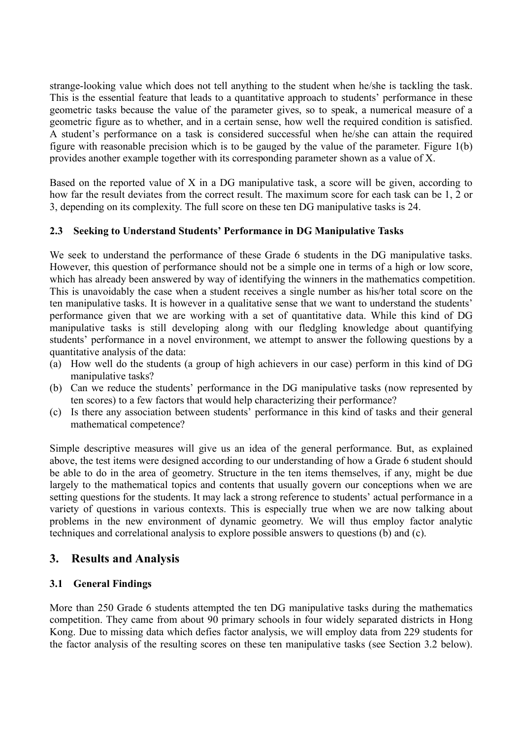strange-looking value which does not tell anything to the student when he/she is tackling the task. This is the essential feature that leads to a quantitative approach to students' performance in these geometric tasks because the value of the parameter gives, so to speak, a numerical measure of a geometric figure as to whether, and in a certain sense, how well the required condition is satisfied. A student's performance on a task is considered successful when he/she can attain the required figure with reasonable precision which is to be gauged by the value of the parameter. Figure 1(b) provides another example together with its corresponding parameter shown as a value of X.

Based on the reported value of X in a DG manipulative task, a score will be given, according to how far the result deviates from the correct result. The maximum score for each task can be 1, 2 or 3, depending on its complexity. The full score on these ten DG manipulative tasks is 24.

#### **2.3 Seeking to Understand Students' Performance in DG Manipulative Tasks**

We seek to understand the performance of these Grade 6 students in the DG manipulative tasks. However, this question of performance should not be a simple one in terms of a high or low score, which has already been answered by way of identifying the winners in the mathematics competition. This is unavoidably the case when a student receives a single number as his/her total score on the ten manipulative tasks. It is however in a qualitative sense that we want to understand the students' performance given that we are working with a set of quantitative data. While this kind of DG manipulative tasks is still developing along with our fledgling knowledge about quantifying students' performance in a novel environment, we attempt to answer the following questions by a quantitative analysis of the data:

- (a) How well do the students (a group of high achievers in our case) perform in this kind of DG manipulative tasks?
- (b) Can we reduce the students' performance in the DG manipulative tasks (now represented by ten scores) to a few factors that would help characterizing their performance?
- (c) Is there any association between students' performance in this kind of tasks and their general mathematical competence?

Simple descriptive measures will give us an idea of the general performance. But, as explained above, the test items were designed according to our understanding of how a Grade 6 student should be able to do in the area of geometry. Structure in the ten items themselves, if any, might be due largely to the mathematical topics and contents that usually govern our conceptions when we are setting questions for the students. It may lack a strong reference to students' actual performance in a variety of questions in various contexts. This is especially true when we are now talking about problems in the new environment of dynamic geometry. We will thus employ factor analytic techniques and correlational analysis to explore possible answers to questions (b) and (c).

## **3. Results and Analysis**

#### **3.1 General Findings**

More than 250 Grade 6 students attempted the ten DG manipulative tasks during the mathematics competition. They came from about 90 primary schools in four widely separated districts in Hong Kong. Due to missing data which defies factor analysis, we will employ data from 229 students for the factor analysis of the resulting scores on these ten manipulative tasks (see Section 3.2 below).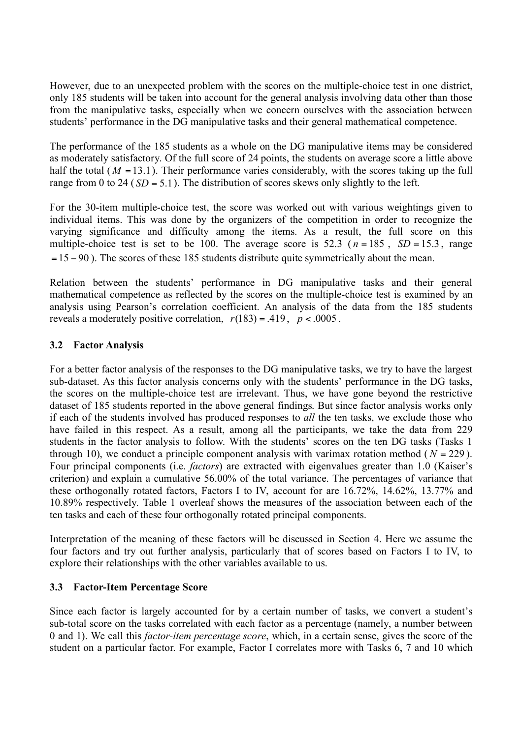However, due to an unexpected problem with the scores on the multiple-choice test in one district, only 185 students will be taken into account for the general analysis involving data other than those from the manipulative tasks, especially when we concern ourselves with the association between students' performance in the DG manipulative tasks and their general mathematical competence.

The performance of the 185 students as a whole on the DG manipulative items may be considered as moderately satisfactory. Of the full score of 24 points, the students on average score a little above half the total  $(M = 13.1)$ . Their performance varies considerably, with the scores taking up the full range from 0 to 24 ( $SD = 5.1$ ). The distribution of scores skews only slightly to the left.

For the 30-item multiple-choice test, the score was worked out with various weightings given to individual items. This was done by the organizers of the competition in order to recognize the varying significance and difficulty among the items. As a result, the full score on this multiple-choice test is set to be 100. The average score is 52.3 ( $n = 185$ ,  $SD = 15.3$ , range  $=15 - 90$ ). The scores of these 185 students distribute quite symmetrically about the mean.

Relation between the students' performance in DG manipulative tasks and their general mathematical competence as reflected by the scores on the multiple-choice test is examined by an analysis using Pearson's correlation coefficient. An analysis of the data from the 185 students reveals a moderately positive correlation,  $r(183) = .419$ ,  $p < .0005$ .

#### **3.2 Factor Analysis**

For a better factor analysis of the responses to the DG manipulative tasks, we try to have the largest sub-dataset. As this factor analysis concerns only with the students' performance in the DG tasks, the scores on the multiple-choice test are irrelevant. Thus, we have gone beyond the restrictive dataset of 185 students reported in the above general findings. But since factor analysis works only if each of the students involved has produced responses to *all* the ten tasks, we exclude those who have failed in this respect. As a result, among all the participants, we take the data from 229 students in the factor analysis to follow. With the students' scores on the ten DG tasks (Tasks 1 through 10), we conduct a principle component analysis with varimax rotation method ( $N = 229$ ). Four principal components (i.e. *factors*) are extracted with eigenvalues greater than 1.0 (Kaiser's criterion) and explain a cumulative 56.00% of the total variance. The percentages of variance that these orthogonally rotated factors, Factors I to IV, account for are 16.72%, 14.62%, 13.77% and 10.89% respectively. Table 1 overleaf shows the measures of the association between each of the ten tasks and each of these four orthogonally rotated principal components.

Interpretation of the meaning of these factors will be discussed in Section 4. Here we assume the four factors and try out further analysis, particularly that of scores based on Factors I to IV, to explore their relationships with the other variables available to us.

#### **3.3 Factor-Item Percentage Score**

Since each factor is largely accounted for by a certain number of tasks, we convert a student's sub-total score on the tasks correlated with each factor as a percentage (namely, a number between 0 and 1). We call this *factor-item percentage score*, which, in a certain sense, gives the score of the student on a particular factor. For example, Factor I correlates more with Tasks 6, 7 and 10 which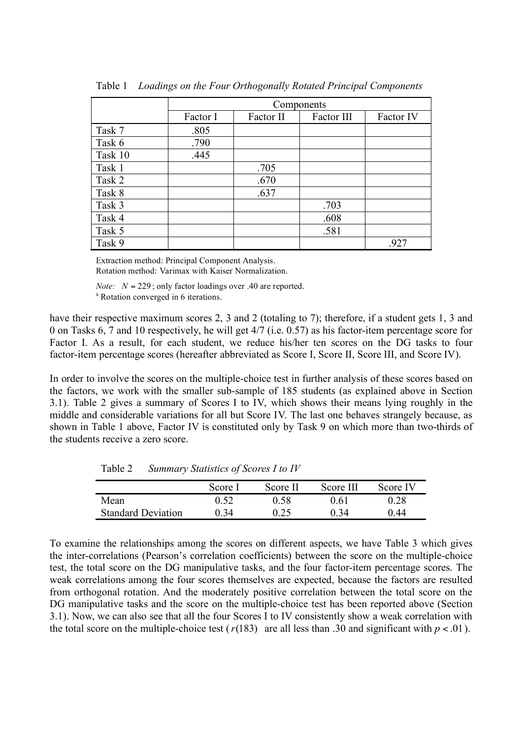|         | Components |           |            |           |
|---------|------------|-----------|------------|-----------|
|         | Factor I   | Factor II | Factor III | Factor IV |
| Task 7  | .805       |           |            |           |
| Task 6  | .790       |           |            |           |
| Task 10 | .445       |           |            |           |
| Task 1  |            | .705      |            |           |
| Task 2  |            | .670      |            |           |
| Task 8  |            | .637      |            |           |
| Task 3  |            |           | .703       |           |
| Task 4  |            |           | .608       |           |
| Task 5  |            |           | .581       |           |
| Task 9  |            |           |            | .927      |

Table 1 *Loadings on the Four Orthogonally Rotated Principal Components*

Extraction method: Principal Component Analysis.

Rotation method: Varimax with Kaiser Normalization.

*Note: N* = 229 ; only factor loadings over .40 are reported. <sup>a</sup> Rotation converged in 6 iterations.

have their respective maximum scores 2, 3 and 2 (totaling to 7); therefore, if a student gets 1, 3 and 0 on Tasks 6, 7 and 10 respectively, he will get 4/7 (i.e. 0.57) as his factor-item percentage score for Factor I. As a result, for each student, we reduce his/her ten scores on the DG tasks to four factor-item percentage scores (hereafter abbreviated as Score I, Score II, Score III, and Score IV).

In order to involve the scores on the multiple-choice test in further analysis of these scores based on the factors, we work with the smaller sub-sample of 185 students (as explained above in Section 3.1). Table 2 gives a summary of Scores I to IV, which shows their means lying roughly in the middle and considerable variations for all but Score IV. The last one behaves strangely because, as shown in Table 1 above, Factor IV is constituted only by Task 9 on which more than two-thirds of the students receive a zero score.

Table 2 *Summary Statistics of Scores I to IV*

|                           | Score I | Score II | Score III | Score IV |
|---------------------------|---------|----------|-----------|----------|
| Mean                      | 0.52    | 0 58     | 0.61      | 0.28     |
| <b>Standard Deviation</b> | 0.34    | 0.25     | 0 34      | ) 44     |

To examine the relationships among the scores on different aspects, we have Table 3 which gives the inter-correlations (Pearson's correlation coefficients) between the score on the multiple-choice test, the total score on the DG manipulative tasks, and the four factor-item percentage scores. The weak correlations among the four scores themselves are expected, because the factors are resulted from orthogonal rotation. And the moderately positive correlation between the total score on the DG manipulative tasks and the score on the multiple-choice test has been reported above (Section 3.1). Now, we can also see that all the four Scores I to IV consistently show a weak correlation with the total score on the multiple-choice test ( $r(183)$  are all less than .30 and significant with  $p < .01$ ).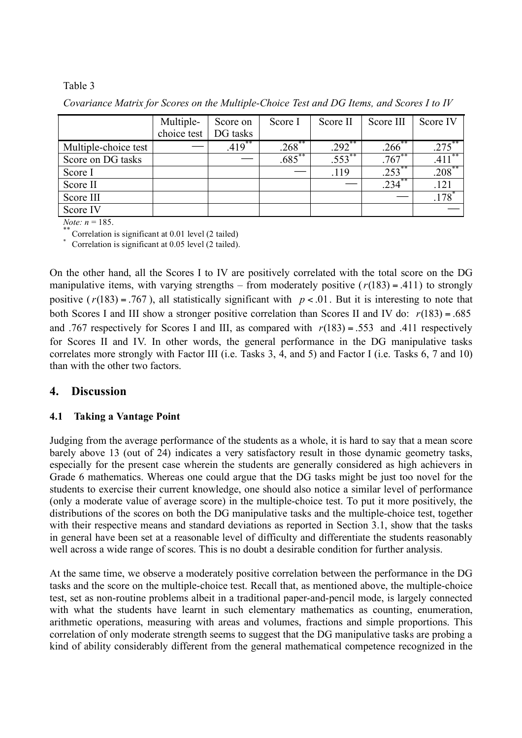#### Table 3

*Covariance Matrix for Scores on the Multiple-Choice Test and DG Items, and Scores I to IV*

|                      | Multiple-   | Score on | Score I              | Score II  | Score III            | Score IV  |
|----------------------|-------------|----------|----------------------|-----------|----------------------|-----------|
|                      | choice test | DG tasks |                      |           |                      |           |
| Multiple-choice test |             | $.419**$ | $.268$ <sup>**</sup> | $.292$ ** | $.266$ <sup>**</sup> |           |
| Score on DG tasks    |             |          | $.685***$            | $.553$ ** | $.767***$            | .411      |
| Score I              |             |          |                      | .119      | $.253***$            | $.208***$ |
| Score II             |             |          |                      |           | 234                  | .121      |
| Score III            |             |          |                      |           |                      |           |
| Score IV             |             |          |                      |           |                      |           |

*Note:*  $n = 185$ .<br>\*\* Correlation is significant at 0.01 level (2 tailed)

Correlation is significant at 0.05 level (2 tailed).

On the other hand, all the Scores I to IV are positively correlated with the total score on the DG manipulative items, with varying strengths – from moderately positive  $(r(183) = .411)$  to strongly positive ( $r(183) = .767$ ), all statistically significant with  $p < .01$ . But it is interesting to note that both Scores I and III show a stronger positive correlation than Scores II and IV do: *r*(183) = .685 and .767 respectively for Scores I and III, as compared with  $r(183) = .553$  and .411 respectively for Scores II and IV. In other words, the general performance in the DG manipulative tasks correlates more strongly with Factor III (i.e. Tasks 3, 4, and 5) and Factor I (i.e. Tasks 6, 7 and 10) than with the other two factors.

## **4. Discussion**

#### **4.1 Taking a Vantage Point**

Judging from the average performance of the students as a whole, it is hard to say that a mean score barely above 13 (out of 24) indicates a very satisfactory result in those dynamic geometry tasks, especially for the present case wherein the students are generally considered as high achievers in Grade 6 mathematics. Whereas one could argue that the DG tasks might be just too novel for the students to exercise their current knowledge, one should also notice a similar level of performance (only a moderate value of average score) in the multiple-choice test. To put it more positively, the distributions of the scores on both the DG manipulative tasks and the multiple-choice test, together with their respective means and standard deviations as reported in Section 3.1, show that the tasks in general have been set at a reasonable level of difficulty and differentiate the students reasonably well across a wide range of scores. This is no doubt a desirable condition for further analysis.

At the same time, we observe a moderately positive correlation between the performance in the DG tasks and the score on the multiple-choice test. Recall that, as mentioned above, the multiple-choice test, set as non-routine problems albeit in a traditional paper-and-pencil mode, is largely connected with what the students have learnt in such elementary mathematics as counting, enumeration, arithmetic operations, measuring with areas and volumes, fractions and simple proportions. This correlation of only moderate strength seems to suggest that the DG manipulative tasks are probing a kind of ability considerably different from the general mathematical competence recognized in the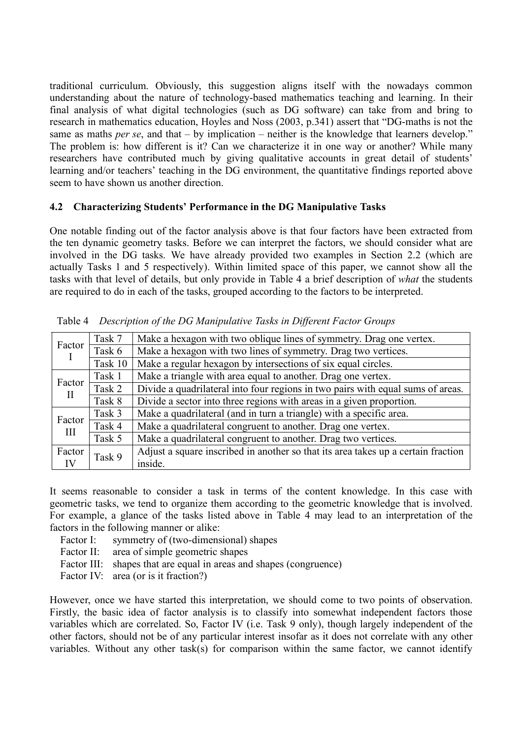traditional curriculum. Obviously, this suggestion aligns itself with the nowadays common understanding about the nature of technology-based mathematics teaching and learning. In their final analysis of what digital technologies (such as DG software) can take from and bring to research in mathematics education, Hoyles and Noss (2003, p.341) assert that "DG-maths is not the same as maths *per se*, and that – by implication – neither is the knowledge that learners develop." The problem is: how different is it? Can we characterize it in one way or another? While many researchers have contributed much by giving qualitative accounts in great detail of students' learning and/or teachers' teaching in the DG environment, the quantitative findings reported above seem to have shown us another direction.

#### **4.2 Characterizing Students' Performance in the DG Manipulative Tasks**

One notable finding out of the factor analysis above is that four factors have been extracted from the ten dynamic geometry tasks. Before we can interpret the factors, we should consider what are involved in the DG tasks. We have already provided two examples in Section 2.2 (which are actually Tasks 1 and 5 respectively). Within limited space of this paper, we cannot show all the tasks with that level of details, but only provide in Table 4 a brief description of *what* the students are required to do in each of the tasks, grouped according to the factors to be interpreted.

| Factor       | Task 7  | Make a hexagon with two oblique lines of symmetry. Drag one vertex.               |  |  |
|--------------|---------|-----------------------------------------------------------------------------------|--|--|
|              | Task 6  | Make a hexagon with two lines of symmetry. Drag two vertices.                     |  |  |
|              | Task 10 | Make a regular hexagon by intersections of six equal circles.                     |  |  |
| Factor       | Task 1  | Make a triangle with area equal to another. Drag one vertex.                      |  |  |
| $\mathbf{I}$ | Task 2  | Divide a quadrilateral into four regions in two pairs with equal sums of areas.   |  |  |
|              | Task 8  | Divide a sector into three regions with areas in a given proportion.              |  |  |
| Factor       | Task 3  | Make a quadrilateral (and in turn a triangle) with a specific area.               |  |  |
| III          | Task 4  | Make a quadrilateral congruent to another. Drag one vertex.                       |  |  |
|              | Task 5  | Make a quadrilateral congruent to another. Drag two vertices.                     |  |  |
| Factor       | Task 9  | Adjust a square inscribed in another so that its area takes up a certain fraction |  |  |
| IV           |         | inside.                                                                           |  |  |

Table 4 *Description of the DG Manipulative Tasks in Different Factor Groups*

It seems reasonable to consider a task in terms of the content knowledge. In this case with geometric tasks, we tend to organize them according to the geometric knowledge that is involved. For example, a glance of the tasks listed above in Table 4 may lead to an interpretation of the factors in the following manner or alike:

- Factor I: symmetry of (two-dimensional) shapes
- Factor II: area of simple geometric shapes
- Factor III: shapes that are equal in areas and shapes (congruence)
- Factor IV: area (or is it fraction?)

However, once we have started this interpretation, we should come to two points of observation. Firstly, the basic idea of factor analysis is to classify into somewhat independent factors those variables which are correlated. So, Factor IV (i.e. Task 9 only), though largely independent of the other factors, should not be of any particular interest insofar as it does not correlate with any other variables. Without any other task(s) for comparison within the same factor, we cannot identify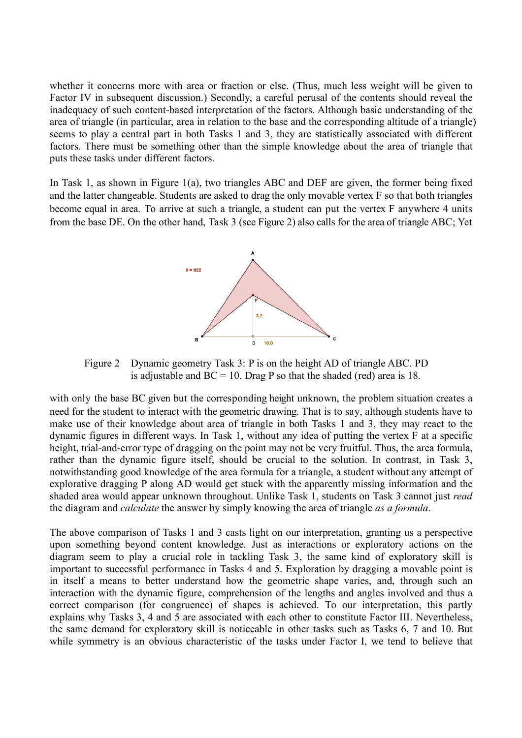whether it concerns more with area or fraction or else. (Thus, much less weight will be given to Factor IV in subsequent discussion.) Secondly, a careful perusal of the contents should reveal the inadequacy of such content-based interpretation of the factors. Although basic understanding of the area of triangle (in particular, area in relation to the base and the corresponding altitude of a triangle) seems to play a central part in both Tasks 1 and 3, they are statistically associated with different factors. There must be something other than the simple knowledge about the area of triangle that puts these tasks under different factors.

In Task 1, as shown in Figure 1(a), two triangles ABC and DEF are given, the former being fixed and the latter changeable. Students are asked to drag the only movable vertex F so that both triangles become equal in area. To arrive at such a triangle, a student can put the vertex F anywhere 4 units from the base DE. On the other hand, Task 3 (see Figure 2) also calls for the area of triangle ABC; Yet



Figure 2 Dynamic geometry Task 3: P is on the height AD of triangle ABC. PD is adjustable and  $BC = 10$ . Drag P so that the shaded (red) area is 18.

with only the base BC given but the corresponding height unknown, the problem situation creates a need for the student to interact with the geometric drawing. That is to say, although students have to make use of their knowledge about area of triangle in both Tasks 1 and 3, they may react to the dynamic figures in different ways. In Task 1, without any idea of putting the vertex F at a specific height, trial-and-error type of dragging on the point may not be very fruitful. Thus, the area formula, rather than the dynamic figure itself, should be crucial to the solution. In contrast, in Task 3, notwithstanding good knowledge of the area formula for a triangle, a student without any attempt of explorative dragging P along AD would get stuck with the apparently missing information and the shaded area would appear unknown throughout. Unlike Task 1, students on Task 3 cannot just *read* the diagram and *calculate* the answer by simply knowing the area of triangle *as a formula*.

The above comparison of Tasks 1 and 3 casts light on our interpretation, granting us a perspective upon something beyond content knowledge. Just as interactions or exploratory actions on the diagram seem to play a crucial role in tackling Task 3, the same kind of exploratory skill is important to successful performance in Tasks 4 and 5. Exploration by dragging a movable point is in itself a means to better understand how the geometric shape varies, and, through such an interaction with the dynamic figure, comprehension of the lengths and angles involved and thus a correct comparison (for congruence) of shapes is achieved. To our interpretation, this partly explains why Tasks 3, 4 and 5 are associated with each other to constitute Factor III. Nevertheless, the same demand for exploratory skill is noticeable in other tasks such as Tasks 6, 7 and 10. But while symmetry is an obvious characteristic of the tasks under Factor I, we tend to believe that